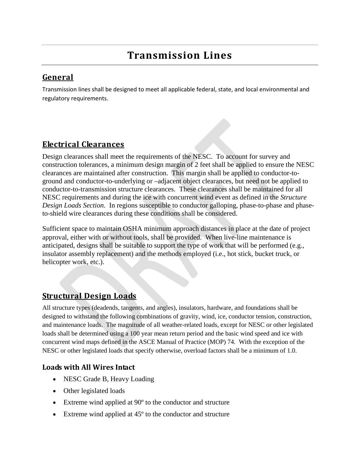# **General**

Transmission lines shall be designed to meet all applicable federal, state, and local environmental and regulatory requirements.

# **Electrical Clearances**

Design clearances shall meet the requirements of the NESC. To account for survey and construction tolerances, a minimum design margin of 2 feet shall be applied to ensure the NESC clearances are maintained after construction. This margin shall be applied to conductor-toground and conductor-to-underlying or –adjacent object clearances, but need not be applied to conductor-to-transmission structure clearances. These clearances shall be maintained for all NESC requirements and during the ice with concurrent wind event as defined in the *Structure Design Loads Section*. In regions susceptible to conductor galloping, phase-to-phase and phaseto-shield wire clearances during these conditions shall be considered.

Sufficient space to maintain OSHA minimum approach distances in place at the date of project approval, either with or without tools, shall be provided. When live-line maintenance is anticipated, designs shall be suitable to support the type of work that will be performed (e.g., insulator assembly replacement) and the methods employed (i.e., hot stick, bucket truck, or helicopter work, etc.).

## **Structural Design Loads**

All structure types (deadends, tangents, and angles), insulators, hardware, and foundations shall be designed to withstand the following combinations of gravity, wind, ice, conductor tension, construction, and maintenance loads. The magnitude of all weather-related loads, except for NESC or other legislated loads shall be determined using a 100 year mean return period and the basic wind speed and ice with concurrent wind maps defined in the ASCE Manual of Practice (MOP) 74. With the exception of the NESC or other legislated loads that specify otherwise, overload factors shall be a minimum of 1.0.

## **Loads with All Wires Intact**

- NESC Grade B, Heavy Loading
- Other legislated loads
- Extreme wind applied at 90<sup>°</sup> to the conductor and structure
- Extreme wind applied at 45<sup>°</sup> to the conductor and structure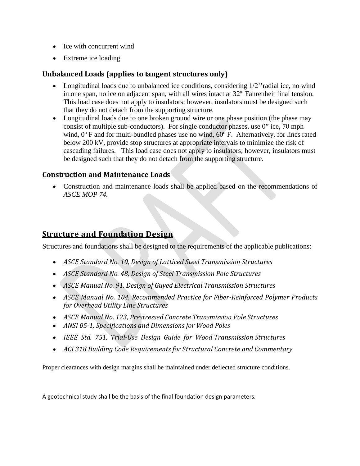- Ice with concurrent wind
- Extreme ice loading

### **Unbalanced Loads (applies to tangent structures only)**

- Longitudinal loads due to unbalanced ice conditions, considering  $1/2$ " radial ice, no wind in one span, no ice on adjacent span, with all wires intact at 32º Fahrenheit final tension. This load case does not apply to insulators; however, insulators must be designed such that they do not detach from the supporting structure.
- Longitudinal loads due to one broken ground wire or one phase position (the phase may consist of multiple sub-conductors). For single conductor phases, use 0" ice, 70 mph wind,  $0^{\circ}$  F and for multi-bundled phases use no wind,  $60^{\circ}$  F. Alternatively, for lines rated below 200 kV, provide stop structures at appropriate intervals to minimize the risk of cascading failures. This load case does not apply to insulators; however, insulators must be designed such that they do not detach from the supporting structure.

#### **Construction and Maintenance Loads**

• Construction and maintenance loads shall be applied based on the recommendations of *ASCE MOP 74.*

## **Structure and Foundation Design**

Structures and foundations shall be designed to the requirements of the applicable publications:

- *ASCE Standard No. 10, Design of Latticed Steel Transmission Structures*
- *ASCE Standard No. 48, Design of Steel Transmission Pole Structures*
- *ASCE Manual No. 91, Design of Guyed Electrical Transmission Structures*
- *ASCE Manual No. 104*, *Recommended Practice for Fiber-Reinforced Polymer Products for Overhead Utility Line Structures*
- *ASCE Manual No. 123, Prestressed Concrete Transmission Pole Structures*
- *ANSI 05-1, Specifications and Dimensions for Wood Poles*
- *IEEE Std. 751, Trial-Use Design Guide for Wood Transmission Structures*
- *ACI 318 Building Code Requirements for Structural Concrete and Commentary*

Proper clearances with design margins shall be maintained under deflected structure conditions.

A geotechnical study shall be the basis of the final foundation design parameters.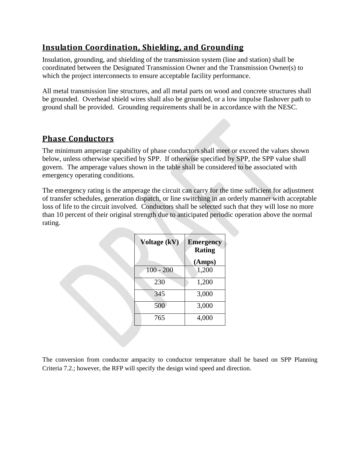# **Insulation Coordination, Shielding, and Grounding**

Insulation, grounding, and shielding of the transmission system (line and station) shall be coordinated between the Designated Transmission Owner and the Transmission Owner(s) to which the project interconnects to ensure acceptable facility performance.

All metal transmission line structures, and all metal parts on wood and concrete structures shall be grounded. Overhead shield wires shall also be grounded, or a low impulse flashover path to ground shall be provided. Grounding requirements shall be in accordance with the NESC.

## **Phase Conductors**

The minimum amperage capability of phase conductors shall meet or exceed the values shown below, unless otherwise specified by SPP. If otherwise specified by SPP, the SPP value shall govern. The amperage values shown in the table shall be considered to be associated with emergency operating conditions.

The emergency rating is the amperage the circuit can carry for the time sufficient for adjustment of transfer schedules, generation dispatch, or line switching in an orderly manner with acceptable loss of life to the circuit involved. Conductors shall be selected such that they will lose no more than 10 percent of their original strength due to anticipated periodic operation above the normal rating.

| Voltage (kV) | <b>Emergency</b><br><b>Rating</b> |
|--------------|-----------------------------------|
|              | (Amps)                            |
| $100 - 200$  | 1,200                             |
| 230          | 1,200                             |
| 345          | 3,000                             |
| 500          | 3,000                             |
| 765          | 4,000                             |

The conversion from conductor ampacity to conductor temperature shall be based on SPP Planning Criteria 7.2.; however, the RFP will specify the design wind speed and direction.